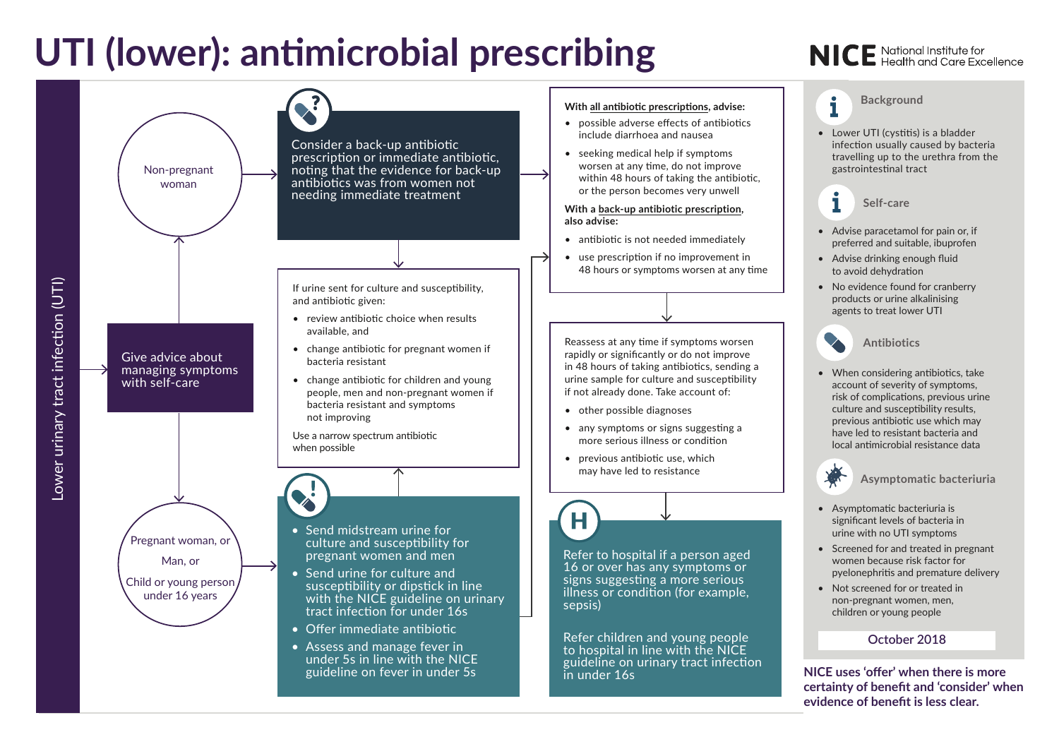## **UTI (lower): antimicrobial prescribing**

## **NICE** National Institute for<br>**NICE** Health and Care Excellence



### **With all antibiotic prescriptions, advise:**

- possible adverse effects of antibiotics include diarrhoea and nausea
- seeking medical help if symptoms worsen at any time, do not improve within 48 hours of taking the antibiotic, or the person becomes very unwell

### **With a back-up antibiotic prescription, also advise:**

- antibiotic is not needed immediately
- use prescription if no improvement in 48 hours or symptoms worsen at any time

Reassess at any time if symptoms worsen rapidly or significantly or do not improve in 48 hours of taking antibiotics, sending a urine sample for culture and susceptibility if not already done. Take account of:

- other possible diagnoses
- any symptoms or signs suggesting a more serious illness or condition
- previous antibiotic use, which may have led to resistance

Refer to hospital if a person aged 16 or over has any symptoms or signs suggesting a more serious illness or condition (for example, sepsis)

Refer children and young people to hospital in line with the NICE guideline on urinary tract infection in under 16s

**Background**

 $\mathbf i$ 

• Lower UTI (cystitis) is a bladder infection usually caused by bacteria travelling up to the urethra from the gastrointestinal tract

**Self-care**

- Advise paracetamol for pain or, if preferred and suitable, ibuprofen
- Advise drinking enough fluid to avoid dehydration
- No evidence found for cranberry products or urine alkalinising agents to treat lower UTI

**Antibiotics**

• When considering antibiotics, take account of severity of symptoms, risk of complications, previous urine culture and susceptibility results, previous antibiotic use which may have led to resistant bacteria and local antimicrobial resistance data

**Asymptomatic bacteriuria**

- Asymptomatic bacteriuria is significant levels of bacteria in urine with no UTI symptoms
- Screened for and treated in pregnant women because risk factor for pyelonephritis and premature delivery
- Not screened for or treated in non-pregnant women, men, children or young people

### **October 2018**

**NICE uses 'offer' when there is more certainty of benefit and 'consider' when evidence of benefit is less clear.**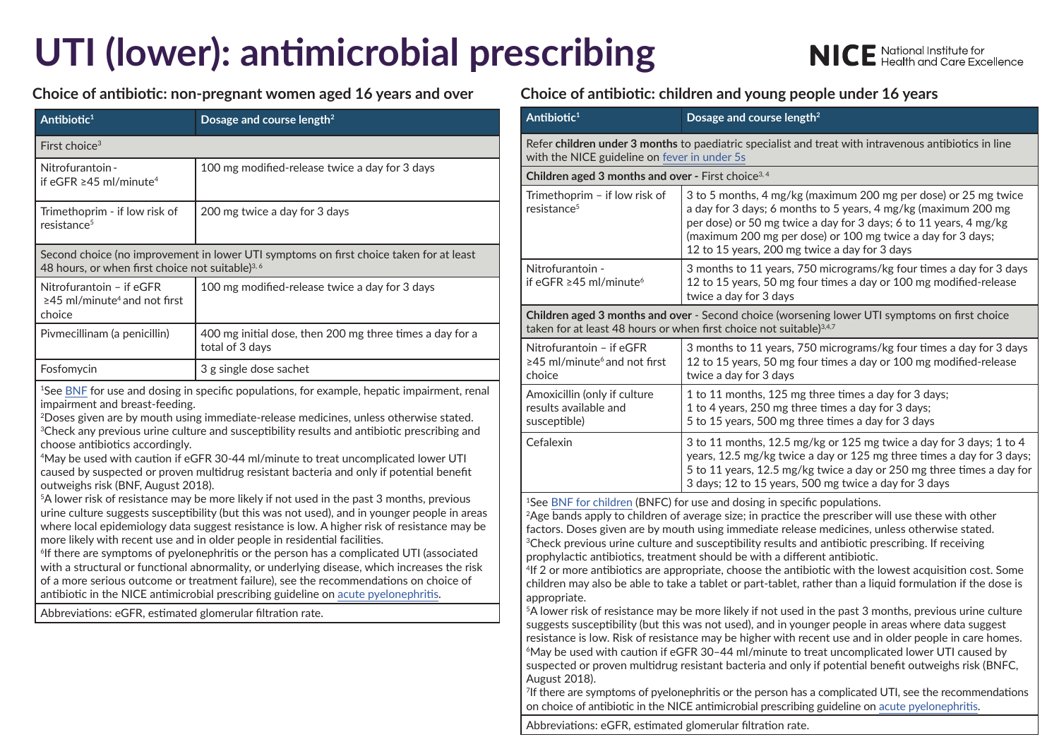# **UTI (lower): antimicrobial prescribing**

**NICE** National Institute for<br>**NICE** Health and Care Excellence

**Choice of antibiotic: non-pregnant women aged 16 years and over Choice of antibiotic: children and young people under 16 years**

| Antibiotic <sup>1</sup>                                                                                                                                                                                                                                                                                                                                                                                                                                                                                                                                                                                                                                                                                                                                                                                                                                                                                                                                                                                                                                                                                                                                                                                                                                                                                                  | Dosage and course length <sup>2</sup>                                       |  |  |  |
|--------------------------------------------------------------------------------------------------------------------------------------------------------------------------------------------------------------------------------------------------------------------------------------------------------------------------------------------------------------------------------------------------------------------------------------------------------------------------------------------------------------------------------------------------------------------------------------------------------------------------------------------------------------------------------------------------------------------------------------------------------------------------------------------------------------------------------------------------------------------------------------------------------------------------------------------------------------------------------------------------------------------------------------------------------------------------------------------------------------------------------------------------------------------------------------------------------------------------------------------------------------------------------------------------------------------------|-----------------------------------------------------------------------------|--|--|--|
| First choice <sup>3</sup>                                                                                                                                                                                                                                                                                                                                                                                                                                                                                                                                                                                                                                                                                                                                                                                                                                                                                                                                                                                                                                                                                                                                                                                                                                                                                                |                                                                             |  |  |  |
| Nitrofurantoin -<br>if eGFR $\geq$ 45 ml/minute <sup>4</sup>                                                                                                                                                                                                                                                                                                                                                                                                                                                                                                                                                                                                                                                                                                                                                                                                                                                                                                                                                                                                                                                                                                                                                                                                                                                             | 100 mg modified-release twice a day for 3 days                              |  |  |  |
| Trimethoprim - if low risk of<br>resistance <sup>5</sup>                                                                                                                                                                                                                                                                                                                                                                                                                                                                                                                                                                                                                                                                                                                                                                                                                                                                                                                                                                                                                                                                                                                                                                                                                                                                 | 200 mg twice a day for 3 days                                               |  |  |  |
| Second choice (no improvement in lower UTI symptoms on first choice taken for at least<br>48 hours, or when first choice not suitable) <sup>3, 6</sup>                                                                                                                                                                                                                                                                                                                                                                                                                                                                                                                                                                                                                                                                                                                                                                                                                                                                                                                                                                                                                                                                                                                                                                   |                                                                             |  |  |  |
| Nitrofurantoin - if eGFR<br>$\geq$ 45 ml/minute <sup>4</sup> and not first<br>choice                                                                                                                                                                                                                                                                                                                                                                                                                                                                                                                                                                                                                                                                                                                                                                                                                                                                                                                                                                                                                                                                                                                                                                                                                                     | 100 mg modified-release twice a day for 3 days                              |  |  |  |
| Pivmecillinam (a penicillin)                                                                                                                                                                                                                                                                                                                                                                                                                                                                                                                                                                                                                                                                                                                                                                                                                                                                                                                                                                                                                                                                                                                                                                                                                                                                                             | 400 mg initial dose, then 200 mg three times a day for a<br>total of 3 days |  |  |  |
| Fosfomycin                                                                                                                                                                                                                                                                                                                                                                                                                                                                                                                                                                                                                                                                                                                                                                                                                                                                                                                                                                                                                                                                                                                                                                                                                                                                                                               | 3 g single dose sachet                                                      |  |  |  |
| <sup>1</sup> See BNF for use and dosing in specific populations, for example, hepatic impairment, renal<br>impairment and breast-feeding.<br><sup>2</sup> Doses given are by mouth using immediate-release medicines, unless otherwise stated.<br><sup>3</sup> Check any previous urine culture and susceptibility results and antibiotic prescribing and<br>choose antibiotics accordingly.<br><sup>4</sup> May be used with caution if eGFR 30-44 ml/minute to treat uncomplicated lower UTI<br>caused by suspected or proven multidrug resistant bacteria and only if potential benefit<br>outweighs risk (BNF, August 2018).<br><sup>5</sup> A lower risk of resistance may be more likely if not used in the past 3 months, previous<br>urine culture suggests susceptibility (but this was not used), and in younger people in areas<br>where local epidemiology data suggest resistance is low. A higher risk of resistance may be<br>more likely with recent use and in older people in residential facilities.<br><sup>6</sup> If there are symptoms of pyelonephritis or the person has a complicated UTI (associated<br>with a structural or functional abnormality, or underlying disease, which increases the risk<br>of a more serious outcome or treatment failure), see the recommendations on choice of |                                                                             |  |  |  |

antibiotic in the NICE antimicrobial prescribing guideline on [acute pyelonephritis.](http://www.nice.org.uk/guidance/ng111)

Abbreviations: eGFR, estimated glomerular filtration rate.

| Antibiotic <sup>1</sup>                                                                                                                                                                 | Dosage and course length <sup>2</sup>                                                                                                                                                                                                                                                                                  |  |  |
|-----------------------------------------------------------------------------------------------------------------------------------------------------------------------------------------|------------------------------------------------------------------------------------------------------------------------------------------------------------------------------------------------------------------------------------------------------------------------------------------------------------------------|--|--|
| Refer children under 3 months to paediatric specialist and treat with intravenous antibiotics in line<br>with the NICE guideline on fever in under 5s                                   |                                                                                                                                                                                                                                                                                                                        |  |  |
| Children aged 3 months and over - First choice <sup>3, 4</sup>                                                                                                                          |                                                                                                                                                                                                                                                                                                                        |  |  |
| Trimethoprim - if low risk of<br>resistance <sup>5</sup>                                                                                                                                | 3 to 5 months, 4 mg/kg (maximum 200 mg per dose) or 25 mg twice<br>a day for 3 days; 6 months to 5 years, 4 mg/kg (maximum 200 mg<br>per dose) or 50 mg twice a day for 3 days; 6 to 11 years, 4 mg/kg<br>(maximum 200 mg per dose) or 100 mg twice a day for 3 days;<br>12 to 15 years, 200 mg twice a day for 3 days |  |  |
| Nitrofurantoin -<br>if eGFR $\geq$ 45 ml/minute <sup>6</sup>                                                                                                                            | 3 months to 11 years, 750 micrograms/kg four times a day for 3 days<br>12 to 15 years, 50 mg four times a day or 100 mg modified-release<br>twice a day for 3 days                                                                                                                                                     |  |  |
| <b>Children aged 3 months and over</b> - Second choice (worsening lower UTI symptoms on first choice<br>taken for at least 48 hours or when first choice not suitable) <sup>3,4,7</sup> |                                                                                                                                                                                                                                                                                                                        |  |  |
| Nitrofurantoin - if eGFR<br>$\geq$ 45 ml/minute <sup>6</sup> and not first<br>choice                                                                                                    | 3 months to 11 years, 750 micrograms/kg four times a day for 3 days<br>12 to 15 years, 50 mg four times a day or 100 mg modified-release<br>twice a day for 3 days                                                                                                                                                     |  |  |
| Amoxicillin (only if culture<br>results available and<br>susceptible)                                                                                                                   | 1 to 11 months, 125 mg three times a day for 3 days;<br>1 to 4 years, 250 mg three times a day for 3 days;<br>5 to 15 years, 500 mg three times a day for 3 days                                                                                                                                                       |  |  |
| Cefalexin                                                                                                                                                                               | 3 to 11 months, 12.5 mg/kg or 125 mg twice a day for 3 days; 1 to 4<br>years, 12.5 mg/kg twice a day or 125 mg three times a day for 3 days;<br>5 to 11 years, 12.5 mg/kg twice a day or 250 mg three times a day for<br>3 days; 12 to 15 years, 500 mg twice a day for 3 days                                         |  |  |

<sup>1</sup>See BNF for children (BNFC) for use and dosing in specific populations.

<sup>2</sup>Age bands apply to children of average size; in practice the prescriber will use these with other factors. Doses given are by mouth using immediate release medicines, unless otherwise stated. <sup>3</sup>Check previous urine culture and susceptibility results and antibiotic prescribing. If receiving prophylactic antibiotics, treatment should be with a different antibiotic.

4If 2 or more antibiotics are appropriate, choose the antibiotic with the lowest acquisition cost. Some children may also be able to take a tablet or part-tablet, rather than a liquid formulation if the dose is appropriate.

5A lower risk of resistance may be more likely if not used in the past 3 months, previous urine culture suggests susceptibility (but this was not used), and in younger people in areas where data suggest resistance is low. Risk of resistance may be higher with recent use and in older people in care homes. 6May be used with caution if eGFR 30–44 ml/minute to treat uncomplicated lower UTI caused by suspected or proven multidrug resistant bacteria and only if potential benefit outweighs risk (BNFC, August 2018).

7 If there are symptoms of pyelonephritis or the person has a complicated UTI, see the recommendations on choice of antibiotic in the NICE antimicrobial prescribing guideline on [acute pyelonephritis](http://www.nice.org.uk/guidance/ng111).

Abbreviations: eGFR, estimated glomerular filtration rate.